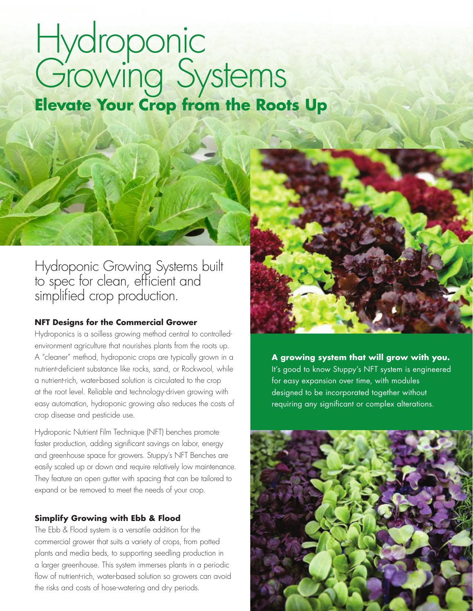# Hydroponic Growing Systems **Elevate Your Crop from the Roots Up**

Hydroponic Growing Systems built to spec for clean, efficient and simplified crop production.

#### **NFT Designs for the Commercial Grower**

Hydroponics is a soilless growing method central to controlledenvironment agriculture that nourishes plants from the roots up. A "cleaner" method, hydroponic crops are typically grown in a nutrient-deficient substance like rocks, sand, or Rockwool, while a nutrient-rich, water-based solution is circulated to the crop at the root level. Reliable and technology-driven growing with easy automation, hydroponic growing also reduces the costs of crop disease and pesticide use.

Hydroponic Nutrient Film Technique (NFT) benches promote faster production, adding significant savings on labor, energy and greenhouse space for growers. Stuppy's NFT Benches are easily scaled up or down and require relatively low maintenance. They feature an open gutter with spacing that can be tailored to expand or be removed to meet the needs of your crop.

### **Simplify Growing with Ebb & Flood**

The Ebb & Flood system is a versatile addition for the commercial grower that suits a variety of crops, from potted plants and media beds, to supporting seedling production in a larger greenhouse. This system immerses plants in a periodic flow of nutrient-rich, water-based solution so growers can avoid the risks and costs of hose-watering and dry periods.

**A growing system that will grow with you.**  It's good to know Stuppy's NFT system is engineered for easy expansion over time, with modules designed to be incorporated together without requiring any significant or complex alterations.